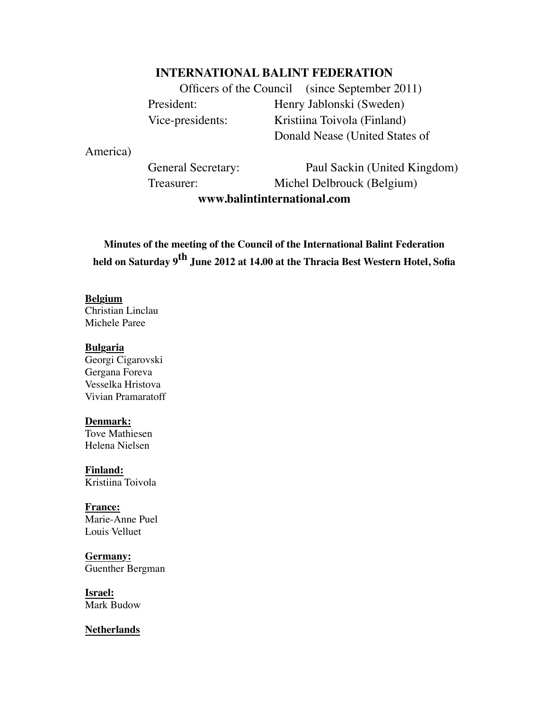# **INTERNATIONAL BALINT FEDERATION**

Officers of the Council (since September 2011) President: Henry Jablonski (Sweden) Vice-presidents: Kristiina Toivola (Finland) Donald Nease (United States of

America)

General Secretary: Paul Sackin (United Kingdom) Treasurer: Michel Delbrouck (Belgium) **www.balintinternational.com**

**Minutes of the meeting of the Council of the International Balint Federation held on Saturday 9th June 2012 at 14.00 at the Thracia Best Western Hotel, Sofia**

### **Belgium**

Christian Linclau Michele Paree

#### **Bulgaria**

Georgi Cigarovski Gergana Foreva Vesselka Hristova Vivian Pramaratoff

#### **Denmark:**

Tove Mathiesen Helena Nielsen

**Finland:** Kristiina Toivola

**France:** Marie-Anne Puel Louis Velluet

**Germany:** Guenther Bergman

**Israel:** Mark Budow

**Netherlands**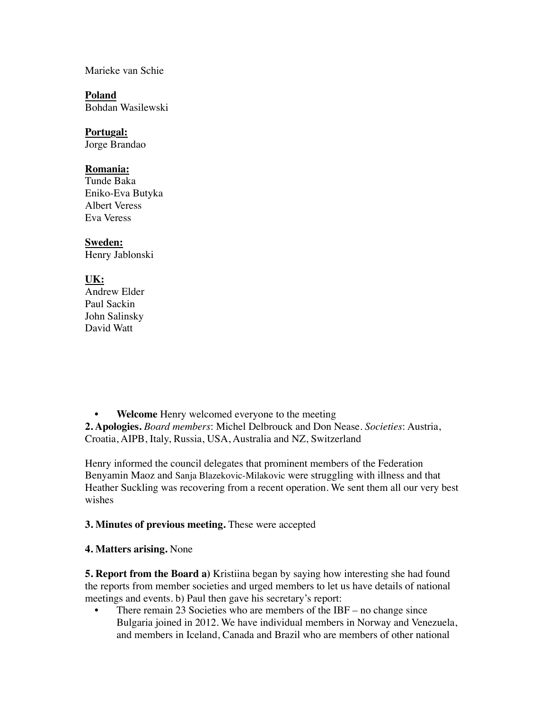Marieke van Schie

**Poland** Bohdan Wasilewski

# **Portugal:**

Jorge Brandao

#### **Romania:**

Tunde Baka Eniko-Eva Butyka Albert Veress Eva Veress

## **Sweden:**

Henry Jablonski

# **UK:**

Andrew Elder Paul Sackin John Salinsky David Watt

**• Welcome** Henry welcomed everyone to the meeting

**2. Apologies.** *Board members*: Michel Delbrouck and Don Nease. *Societies*: Austria, Croatia, AIPB, Italy, Russia, USA, Australia and NZ, Switzerland

Henry informed the council delegates that prominent members of the Federation Benyamin Maoz and Sanja Blazekovic-Milakovic were struggling with illness and that Heather Suckling was recovering from a recent operation. We sent them all our very best wishes

## **3. Minutes of previous meeting.** These were accepted

**4. Matters arising.** None

**5. Report from the Board a)** Kristiina began by saying how interesting she had found the reports from member societies and urged members to let us have details of national meetings and events. b) Paul then gave his secretary's report:

• There remain 23 Societies who are members of the IBF – no change since Bulgaria joined in 2012. We have individual members in Norway and Venezuela, and members in Iceland, Canada and Brazil who are members of other national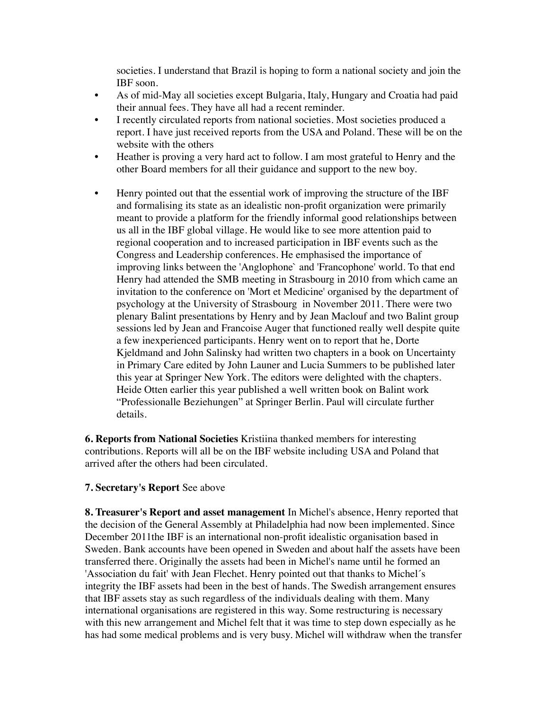societies. I understand that Brazil is hoping to form a national society and join the IBF soon.

- As of mid-May all societies except Bulgaria, Italy, Hungary and Croatia had paid their annual fees. They have all had a recent reminder.
- I recently circulated reports from national societies. Most societies produced a report. I have just received reports from the USA and Poland. These will be on the website with the others
- Heather is proving a very hard act to follow. I am most grateful to Henry and the other Board members for all their guidance and support to the new boy.
- Henry pointed out that the essential work of improving the structure of the IBF and formalising its state as an idealistic non-profit organization were primarily meant to provide a platform for the friendly informal good relationships between us all in the IBF global village. He would like to see more attention paid to regional cooperation and to increased participation in IBF events such as the Congress and Leadership conferences. He emphasised the importance of improving links between the 'Anglophone` and 'Francophone' world. To that end Henry had attended the SMB meeting in Strasbourg in 2010 from which came an invitation to the conference on 'Mort et Medicine' organised by the department of psychology at the University of Strasbourg in November 2011. There were two plenary Balint presentations by Henry and by Jean Maclouf and two Balint group sessions led by Jean and Francoise Auger that functioned really well despite quite a few inexperienced participants. Henry went on to report that he, Dorte Kjeldmand and John Salinsky had written two chapters in a book on Uncertainty in Primary Care edited by John Launer and Lucia Summers to be published later this year at Springer New York. The editors were delighted with the chapters. Heide Otten earlier this year published a well written book on Balint work "Professionalle Beziehungen" at Springer Berlin. Paul will circulate further details.

**6. Reports from National Societies** Kristiina thanked members for interesting contributions. Reports will all be on the IBF website including USA and Poland that arrived after the others had been circulated.

## **7. Secretary's Report** See above

**8. Treasurer's Report and asset management** In Michel's absence, Henry reported that the decision of the General Assembly at Philadelphia had now been implemented. Since December 2011the IBF is an international non-profit idealistic organisation based in Sweden. Bank accounts have been opened in Sweden and about half the assets have been transferred there. Originally the assets had been in Michel's name until he formed an 'Association du fait' with Jean Flechet. Henry pointed out that thanks to Michel´s integrity the IBF assets had been in the best of hands. The Swedish arrangement ensures that IBF assets stay as such regardless of the individuals dealing with them. Many international organisations are registered in this way. Some restructuring is necessary with this new arrangement and Michel felt that it was time to step down especially as he has had some medical problems and is very busy. Michel will withdraw when the transfer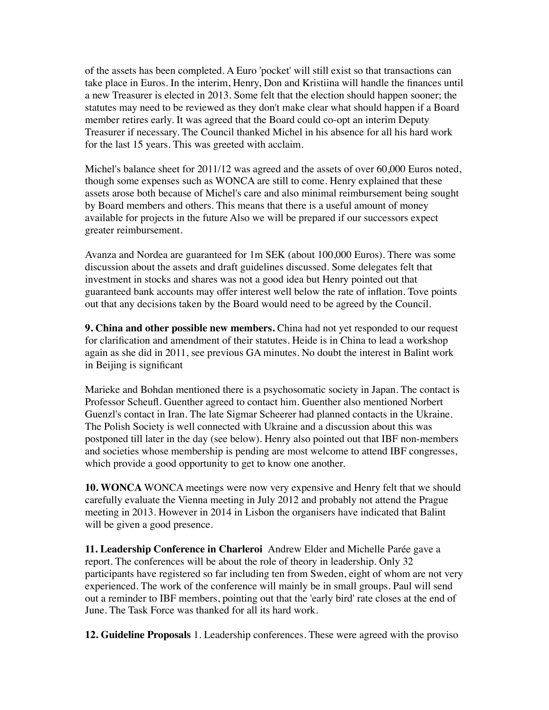of the assets has been completed. A Euro 'pocket' will still exist so that transactions can take place in Euros. In the interim, Henry, Don and Kristiina will handle the finances until a new Treasurer is elected in 2013. Some felt that the election should happen sooner; the statutes may need to be reviewed as they don't make clear what should happen if a Board member retires early. It was agreed that the Board could co-opt an interim Deputy Treasurer if necessary. The Council thanked Michel in his absence for all his hard work for the last 15 years. This was greeted with acclaim.

Michel's balance sheet for 2011/12 was agreed and the assets of over 60,000 Euros noted, though some expenses such as WONCA are still to come. Henry explained that these assets arose both because of Michel's care and also minimal reimbursement being sought by Board members and others. This means that there is a useful amount of money available for projects in the future Also we will be prepared if our successors expect greater reimbursement.

Avanza and Nordea are guaranteed for 1m SEK (about 100,000 Euros). There was some discussion about the assets and draft guidelines discussed. Some delegates felt that investment in stocks and shares was not a good idea but Henry pointed out that guaranteed bank accounts may offer interest well below the rate of inflation. Tove points out that any decisions taken by the Board would need to be agreed by the Council.

**9. China and other possible new members.** China had not yet responded to our request for clarification and amendment of their statutes. Heide is in China to lead a workshop again as she did in 2011, see previous GA minutes. No doubt the interest in Balint work in Beijing is significant

Marieke and Bohdan mentioned there is a psychosomatic society in Japan. The contact is Professor Scheufl. Guenther agreed to contact him. Guenther also mentioned Norbert Guenzl's contact in Iran. The late Sigmar Scheerer had planned contacts in the Ukraine. The Polish Society is well connected with Ukraine and a discussion about this was postponed till later in the day (see below). Henry also pointed out that IBF non-members and societies whose membership is pending are most welcome to attend IBF congresses, which provide a good opportunity to get to know one another.

**10. WONCA** WONCA meetings were now very expensive and Henry felt that we should carefully evaluate the Vienna meeting in July 2012 and probably not attend the Prague meeting in 2013. However in 2014 in Lisbon the organisers have indicated that Balint will be given a good presence.

**11. Leadership Conference in Charleroi** Andrew Elder and Michelle Parée gave a report. The conferences will be about the role of theory in leadership. Only 32 participants have registered so far including ten from Sweden, eight of whom are not very experienced. The work of the conference will mainly be in small groups. Paul will send out a reminder to IBF members, pointing out that the 'early bird' rate closes at the end of June. The Task Force was thanked for all its hard work.

**12. Guideline Proposals** 1. Leadership conferences. These were agreed with the proviso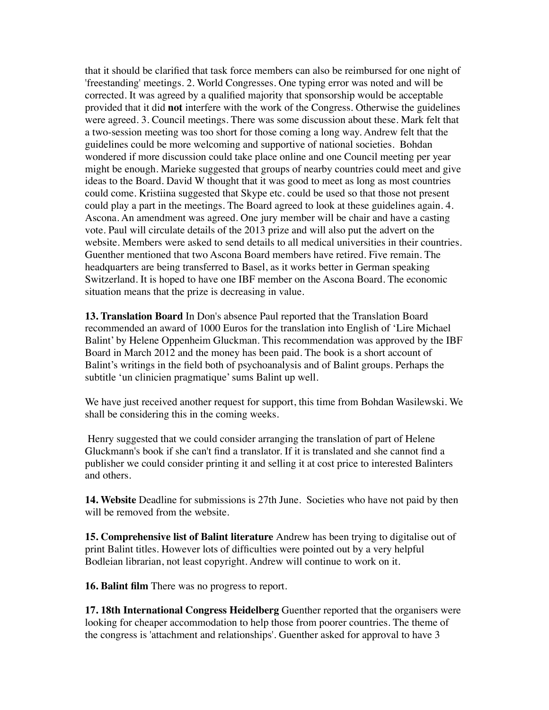that it should be clarified that task force members can also be reimbursed for one night of 'freestanding' meetings. 2. World Congresses. One typing error was noted and will be corrected. It was agreed by a qualified majority that sponsorship would be acceptable provided that it did **not** interfere with the work of the Congress. Otherwise the guidelines were agreed. 3. Council meetings. There was some discussion about these. Mark felt that a two-session meeting was too short for those coming a long way. Andrew felt that the guidelines could be more welcoming and supportive of national societies. Bohdan wondered if more discussion could take place online and one Council meeting per year might be enough. Marieke suggested that groups of nearby countries could meet and give ideas to the Board. David W thought that it was good to meet as long as most countries could come. Kristiina suggested that Skype etc. could be used so that those not present could play a part in the meetings. The Board agreed to look at these guidelines again. 4. Ascona. An amendment was agreed. One jury member will be chair and have a casting vote. Paul will circulate details of the 2013 prize and will also put the advert on the website. Members were asked to send details to all medical universities in their countries. Guenther mentioned that two Ascona Board members have retired. Five remain. The headquarters are being transferred to Basel, as it works better in German speaking Switzerland. It is hoped to have one IBF member on the Ascona Board. The economic situation means that the prize is decreasing in value.

**13. Translation Board** In Don's absence Paul reported that the Translation Board recommended an award of 1000 Euros for the translation into English of 'Lire Michael Balint' by Helene Oppenheim Gluckman. This recommendation was approved by the IBF Board in March 2012 and the money has been paid. The book is a short account of Balint's writings in the field both of psychoanalysis and of Balint groups. Perhaps the subtitle 'un clinicien pragmatique' sums Balint up well.

We have just received another request for support, this time from Bohdan Wasilewski. We shall be considering this in the coming weeks.

 Henry suggested that we could consider arranging the translation of part of Helene Gluckmann's book if she can't find a translator. If it is translated and she cannot find a publisher we could consider printing it and selling it at cost price to interested Balinters and others.

**14. Website** Deadline for submissions is 27th June. Societies who have not paid by then will be removed from the website.

**15. Comprehensive list of Balint literature** Andrew has been trying to digitalise out of print Balint titles. However lots of difficulties were pointed out by a very helpful Bodleian librarian, not least copyright. Andrew will continue to work on it.

**16. Balint film** There was no progress to report.

**17. 18th International Congress Heidelberg** Guenther reported that the organisers were looking for cheaper accommodation to help those from poorer countries. The theme of the congress is 'attachment and relationships'. Guenther asked for approval to have 3